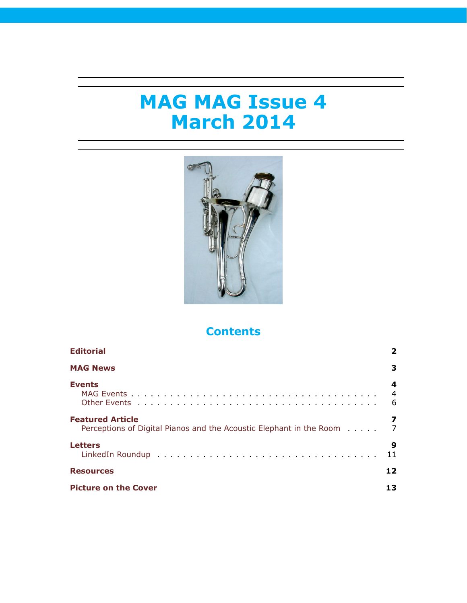# **MAG MAG Issue 4 March 2014**



# **Contents**

| <b>Editorial</b>                                                                               | 2                        |
|------------------------------------------------------------------------------------------------|--------------------------|
| <b>MAG News</b>                                                                                | 3                        |
| <b>Events</b>                                                                                  | 4<br>$\overline{4}$<br>6 |
| <b>Featured Article</b><br>Perceptions of Digital Pianos and the Acoustic Elephant in the Room | 7<br>$\overline{7}$      |
| <b>Letters</b>                                                                                 | 9<br>11                  |
| <b>Resources</b>                                                                               | 12.                      |
| <b>Picture on the Cover</b>                                                                    |                          |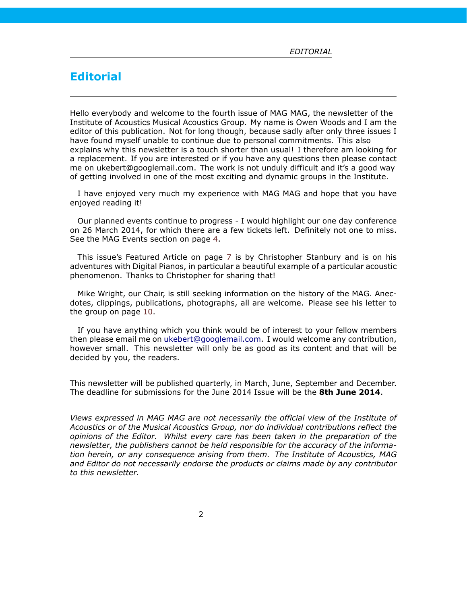# <span id="page-1-0"></span>**Editorial**

Hello everybody and welcome to the fourth issue of MAG MAG, the newsletter of the Institute of Acoustics Musical Acoustics Group. My name is Owen Woods and I am the editor of this publication. Not for long though, because sadly after only three issues I have found myself unable to continue due to personal commitments. This also explains why this newsletter is a touch shorter than usual! I therefore am looking for a replacement. If you are interested or if you have any questions then please contact me on ukebert@googlemail.com. The work is not unduly difficult and it's a good way of getting involved in one of the most exciting and dynamic groups in the Institute.

I have enjoyed very much my experience with MAG MAG and hope that you have enjoyed reading it!

Our planned events continue to progress - I would highlight our one day conference on 26 March 2014, for which there are a few tickets left. Definitely not one to miss. See the MAG Events section on page [4.](#page-3-1)

This issue's Featured Article on page [7](#page-6-1) is by Christopher Stanbury and is on his adventures with Digital Pianos, in particular a beautiful example of a particular acoustic phenomenon. Thanks to Christopher for sharing that!

Mike Wright, our Chair, is still seeking information on the history of the MAG. Anecdotes, clippings, publications, photographs, all are welcome. Please see his letter to the group on page [10](#page-8-0).

If you have anything which you think would be of interest to your fellow members then please email me on [ukebert@googlemail.com](mailto:ukebert@googlemail.com). I would welcome any contribution, however small. This newsletter will only be as good as its content and that will be decided by you, the readers.

This newsletter will be published quarterly, in March, June, September and December. The deadline for submissions for the June 2014 Issue will be the **8th June 2014**.

*Views expressed in MAG MAG are not necessarily the official view of the Institute of Acoustics or of the Musical Acoustics Group, nor do individual contributions reflect the opinions of the Editor. Whilst every care has been taken in the preparation of the newsletter, the publishers cannot be held responsible for the accuracy of the information herein, or any consequence arising from them. The Institute of Acoustics, MAG and Editor do not necessarily endorse the products or claims made by any contributor to this newsletter.*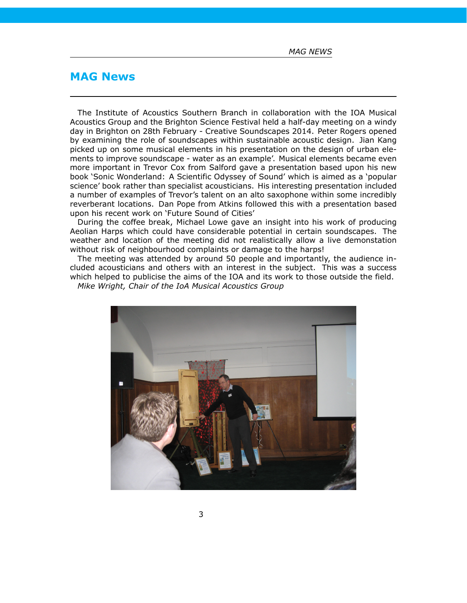*MAG NEWS*

# <span id="page-2-0"></span>**MAG News**

The Institute of Acoustics Southern Branch in collaboration with the IOA Musical Acoustics Group and the Brighton Science Festival held a half-day meeting on a windy day in Brighton on 28th February - Creative Soundscapes 2014. Peter Rogers opened by examining the role of soundscapes within sustainable acoustic design. Jian Kang picked up on some musical elements in his presentation on the design of urban elements to improve soundscape - water as an example'. Musical elements became even more important in Trevor Cox from Salford gave a presentation based upon his new book 'Sonic Wonderland: A Scientific Odyssey of Sound' which is aimed as a 'popular science' book rather than specialist acousticians. His interesting presentation included a number of examples of Trevor's talent on an alto saxophone within some incredibly reverberant locations. Dan Pope from Atkins followed this with a presentation based upon his recent work on 'Future Sound of Cities'

During the coffee break, Michael Lowe gave an insight into his work of producing Aeolian Harps which could have considerable potential in certain soundscapes. The weather and location of the meeting did not realistically allow a live demonstation without risk of neighbourhood complaints or damage to the harps!

The meeting was attended by around 50 people and importantly, the audience included acousticians and others with an interest in the subject. This was a success which helped to publicise the aims of the IOA and its work to those outside the field. *Mike Wright, Chair of the IoA Musical Acoustics Group*

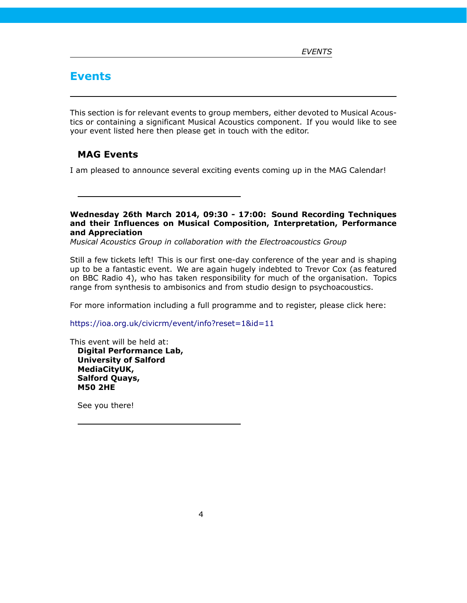# <span id="page-3-0"></span>**Events**

This section is for relevant events to group members, either devoted to Musical Acoustics or containing a significant Musical Acoustics component. If you would like to see your event listed here then please get in touch with the editor.

### <span id="page-3-1"></span>**MAG Events**

I am pleased to announce several exciting events coming up in the MAG Calendar!

**Wednesday 26th March 2014, 09:30 - 17:00: Sound Recording Techniques and their Influences on Musical Composition, Interpretation, Performance and Appreciation**

*Musical Acoustics Group in collaboration with the Electroacoustics Group*

Still a few tickets left! This is our first one-day conference of the year and is shaping up to be a fantastic event. We are again hugely indebted to Trevor Cox (as featured on BBC Radio 4), who has taken responsibility for much of the organisation. Topics range from synthesis to ambisonics and from studio design to psychoacoustics.

For more information including a full programme and to register, please click here:

<https://ioa.org.uk/civicrm/event/info?reset=1&id=11>

This event will be held at: **Digital Performance Lab, University of Salford MediaCityUK, Salford Quays, M50 2HE**

See you there!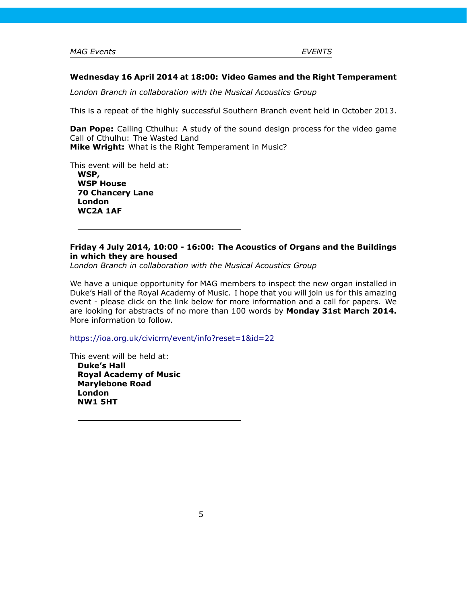#### **Wednesday 16 April 2014 at 18:00: Video Games and the Right Temperament**

*London Branch in collaboration with the Musical Acoustics Group*

This is a repeat of the highly successful Southern Branch event held in October 2013.

**Dan Pope:** Calling Cthulhu: A study of the sound design process for the video game Call of Cthulhu: The Wasted Land **Mike Wright:** What is the Right Temperament in Music?

This event will be held at: **WSP,**

**WSP House 70 Chancery Lane London WC2A 1AF**

### **Friday 4 July 2014, 10:00 - 16:00: The Acoustics of Organs and the Buildings in which they are housed**

*London Branch in collaboration with the Musical Acoustics Group*

We have a unique opportunity for MAG members to inspect the new organ installed in Duke's Hall of the Royal Academy of Music. I hope that you will join us for this amazing event - please click on the link below for more information and a call for papers. We are looking for abstracts of no more than 100 words by **Monday 31st March 2014.** More information to follow.

<https://ioa.org.uk/civicrm/event/info?reset=1&id=22>

This event will be held at: **Duke's Hall Royal Academy of Music Marylebone Road London NW1 5HT**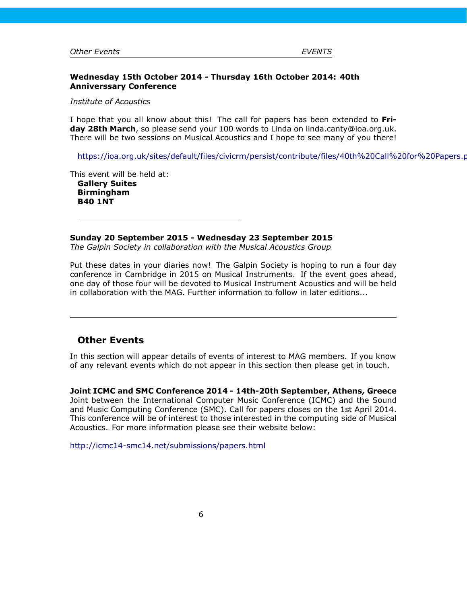#### **Wednesday 15th October 2014 - Thursday 16th October 2014: 40th Anniverssary Conference**

*Institute of Acoustics*

I hope that you all know about this! The call for papers has been extended to **Friday 28th March**, so please send your 100 words to Linda on linda.canty@ioa.org.uk. There will be two sessions on Musical Acoustics and I hope to see many of you there!

https://ioa.org.uk/sites/default/files/civicrm/persist/contribute/files/40th%20Call%20for%20Papers.p

This event will be held at: **Gallery Suites Birmingham B40 1NT**

**Sunday 20 September 2015 - Wednesday 23 September 2015**

*The Galpin Society in collaboration with the Musical Acoustics Group*

Put these dates in your diaries now! The Galpin Society is hoping to run a four day conference in Cambridge in 2015 on Musical Instruments. If the event goes ahead, one day of those four will be devoted to Musical Instrument Acoustics and will be held in collaboration with the MAG. Further information to follow in later editions...

### <span id="page-5-0"></span>**Other Events**

In this section will appear details of events of interest to MAG members. If you know of any relevant events which do not appear in this section then please get in touch.

**Joint ICMC and SMC Conference 2014 - 14th-20th September, Athens, Greece** Joint between the International Computer Music Conference (ICMC) and the Sound and Music Computing Conference (SMC). Call for papers closes on the 1st April 2014. This conference will be of interest to those interested in the computing side of Musical Acoustics. For more information please see their website below:

<http://icmc14-smc14.net/submissions/papers.html>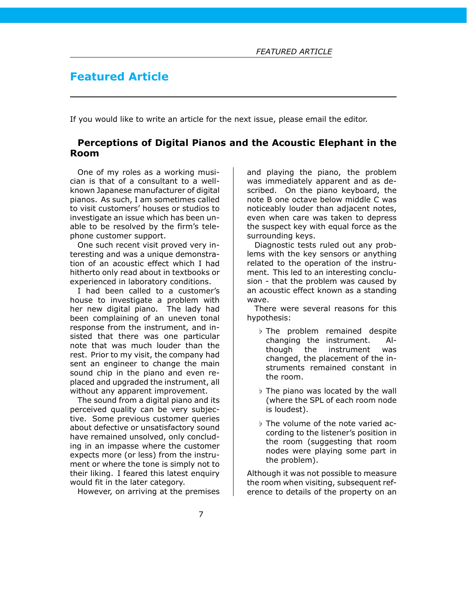# <span id="page-6-0"></span>**Featured Article**

If you would like to write an article for the next issue, please email the editor.

### <span id="page-6-1"></span>**Perceptions of Digital Pianos and the Acoustic Elephant in the Room**

One of my roles as a working musician is that of a consultant to a wellknown Japanese manufacturer of digital pianos. As such, I am sometimes called to visit customers' houses or studios to investigate an issue which has been unable to be resolved by the firm's telephone customer support.

One such recent visit proved very interesting and was a unique demonstration of an acoustic effect which I had hitherto only read about in textbooks or experienced in laboratory conditions.

I had been called to a customer's house to investigate a problem with her new digital piano. The lady had been complaining of an uneven tonal response from the instrument, and insisted that there was one particular note that was much louder than the rest. Prior to my visit, the company had sent an engineer to change the main sound chip in the piano and even replaced and upgraded the instrument, all without any apparent improvement.

The sound from a digital piano and its perceived quality can be very subjective. Some previous customer queries about defective or unsatisfactory sound have remained unsolved, only concluding in an impasse where the customer expects more (or less) from the instrument or where the tone is simply not to their liking. I feared this latest enquiry would fit in the later category.

However, on arriving at the premises

and playing the piano, the problem was immediately apparent and as described. On the piano keyboard, the note B one octave below middle C was noticeably louder than adjacent notes, even when care was taken to depress the suspect key with equal force as the surrounding keys.

Diagnostic tests ruled out any problems with the key sensors or anything related to the operation of the instrument. This led to an interesting conclusion - that the problem was caused by an acoustic effect known as a standing wave.

There were several reasons for this hypothesis:

- *♭* The problem remained despite changing the instrument. Although the instrument was changed, the placement of the instruments remained constant in the room.
- *♭* The piano was located by the wall (where the SPL of each room node is loudest).
- *♭* The volume of the note varied according to the listener's position in the room (suggesting that room nodes were playing some part in the problem).

Although it was not possible to measure the room when visiting, subsequent reference to details of the property on an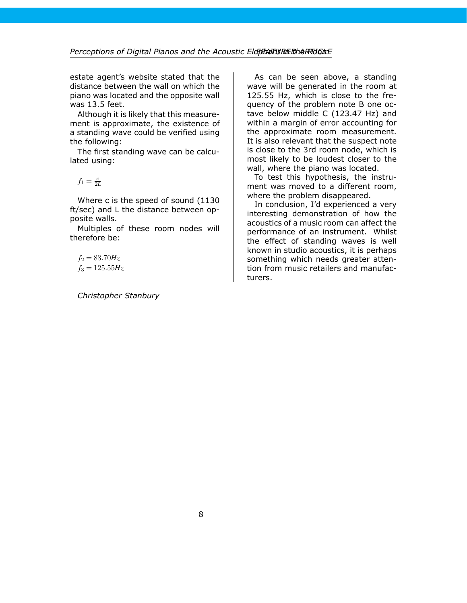estate agent's website stated that the distance between the wall on which the piano was located and the opposite wall was 13.5 feet.

Although it is likely that this measurement is approximate, the existence of a standing wave could be verified using the following:

The first standing wave can be calculated using:

 $f_1 = \frac{c}{2L}$ 

Where c is the speed of sound (1130 ft/sec) and L the distance between opposite walls.

Multiples of these room nodes will therefore be:

 $f_2 = 83.70 Hz$  $f_3 = 125.55 Hz$ 

*Christopher Stanbury*

As can be seen above, a standing wave will be generated in the room at 125.55 Hz, which is close to the frequency of the problem note B one octave below middle C (123.47 Hz) and within a margin of error accounting for the approximate room measurement. It is also relevant that the suspect note is close to the 3rd room node, which is most likely to be loudest closer to the wall, where the piano was located.

To test this hypothesis, the instrument was moved to a different room, where the problem disappeared.

In conclusion, I'd experienced a very interesting demonstration of how the acoustics of a music room can affect the performance of an instrument. Whilst the effect of standing waves is well known in studio acoustics, it is perhaps something which needs greater attention from music retailers and manufacturers.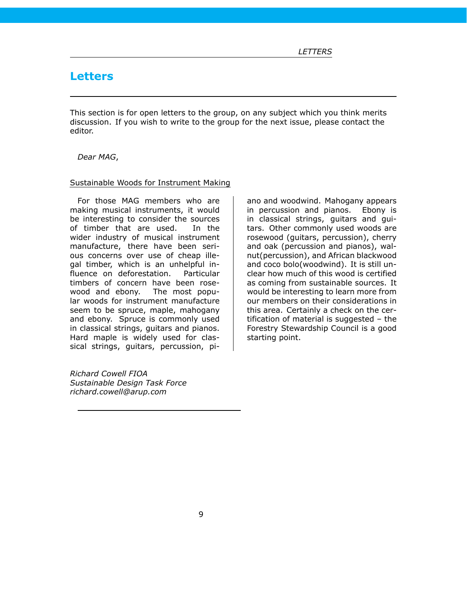# <span id="page-8-0"></span>**Letters**

This section is for open letters to the group, on any subject which you think merits discussion. If you wish to write to the group for the next issue, please contact the editor.

#### *Dear MAG*,

#### Sustainable Woods for Instrument Making

For those MAG members who are making musical instruments, it would be interesting to consider the sources of timber that are used. In the wider industry of musical instrument manufacture, there have been serious concerns over use of cheap illegal timber, which is an unhelpful influence on deforestation. Particular timbers of concern have been rosewood and ebony. The most popular woods for instrument manufacture seem to be spruce, maple, mahogany and ebony. Spruce is commonly used in classical strings, guitars and pianos. Hard maple is widely used for classical strings, guitars, percussion, pi-

*Richard Cowell FIOA Sustainable Design Task Force richard.cowell@arup.com*

ano and woodwind. Mahogany appears in percussion and pianos. Ebony is in classical strings, guitars and guitars. Other commonly used woods are rosewood (guitars, percussion), cherry and oak (percussion and pianos), walnut(percussion), and African blackwood and coco bolo(woodwind). It is still unclear how much of this wood is certified as coming from sustainable sources. It would be interesting to learn more from our members on their considerations in this area. Certainly a check on the certification of material is suggested - the Forestry Stewardship Council is a good starting point.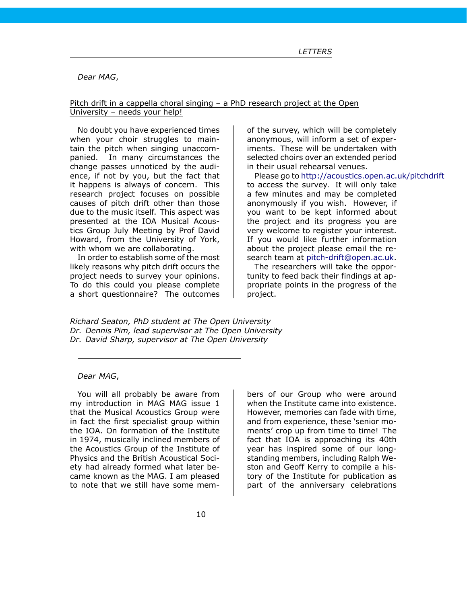*Dear MAG*,

#### Pitch drift in a cappella choral singing – a PhD research project at the Open University – needs your help!

No doubt you have experienced times when your choir struggles to maintain the pitch when singing unaccompanied. In many circumstances the change passes unnoticed by the audience, if not by you, but the fact that it happens is always of concern. This research project focuses on possible causes of pitch drift other than those due to the music itself. This aspect was presented at the IOA Musical Acoustics Group July Meeting by Prof David Howard, from the University of York, with whom we are collaborating.

In order to establish some of the most likely reasons why pitch drift occurs the project needs to survey your opinions. To do this could you please complete a short questionnaire? The outcomes

of the survey, which will be completely anonymous, will inform a set of experiments. These will be undertaken with selected choirs over an extended period in their usual rehearsal venues.

Please go to <http://acoustics.open.ac.uk/pitchdrift> to access the survey. It will only take a few minutes and may be completed anonymously if you wish. However, if you want to be kept informed about the project and its progress you are very welcome to register your interest. If you would like further information about the project please email the research team at [pitch-drift@open.ac.uk.](mailto:pitch-drift@open.ac.uk)

The researchers will take the opportunity to feed back their findings at appropriate points in the progress of the project.

*Richard Seaton, PhD student at The Open University Dr. Dennis Pim, lead supervisor at The Open University Dr. David Sharp, supervisor at The Open University*

#### *Dear MAG*,

You will all probably be aware from my introduction in MAG MAG issue 1 that the Musical Acoustics Group were in fact the first specialist group within the IOA. On formation of the Institute in 1974, musically inclined members of the Acoustics Group of the Institute of Physics and the British Acoustical Society had already formed what later became known as the MAG. I am pleased to note that we still have some mem-

bers of our Group who were around when the Institute came into existence. However, memories can fade with time, and from experience, these 'senior moments' crop up from time to time! The fact that IOA is approaching its 40th year has inspired some of our longstanding members, including Ralph Weston and Geoff Kerry to compile a history of the Institute for publication as part of the anniversary celebrations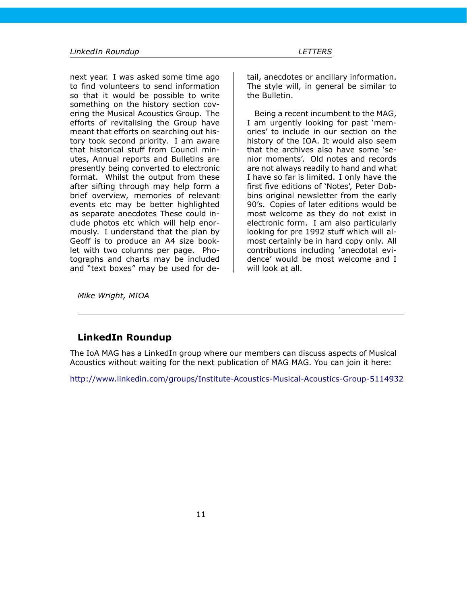next year. I was asked some time ago to find volunteers to send information so that it would be possible to write something on the history section covering the Musical Acoustics Group. The efforts of revitalising the Group have meant that efforts on searching out history took second priority. I am aware that historical stuff from Council minutes, Annual reports and Bulletins are presently being converted to electronic format. Whilst the output from these after sifting through may help form a brief overview, memories of relevant events etc may be better highlighted as separate anecdotes These could include photos etc which will help enormously. I understand that the plan by Geoff is to produce an A4 size booklet with two columns per page. Photographs and charts may be included and "text boxes" may be used for de-

tail, anecdotes or ancillary information. The style will, in general be similar to the Bulletin.

Being a recent incumbent to the MAG, I am urgently looking for past 'memories' to include in our section on the history of the IOA. It would also seem that the archives also have some 'senior moments'. Old notes and records are not always readily to hand and what I have so far is limited. I only have the first five editions of 'Notes', Peter Dobbins original newsletter from the early 90's. Copies of later editions would be most welcome as they do not exist in electronic form. I am also particularly looking for pre 1992 stuff which will almost certainly be in hard copy only. All contributions including 'anecdotal evidence' would be most welcome and I will look at all.

*Mike Wright, MIOA*

### <span id="page-10-0"></span>**LinkedIn Roundup**

The IoA MAG has a LinkedIn group where our members can discuss aspects of Musical Acoustics without waiting for the next publication of MAG MAG. You can join it here:

<http://www.linkedin.com/groups/Institute-Acoustics-Musical-Acoustics-Group-5114932>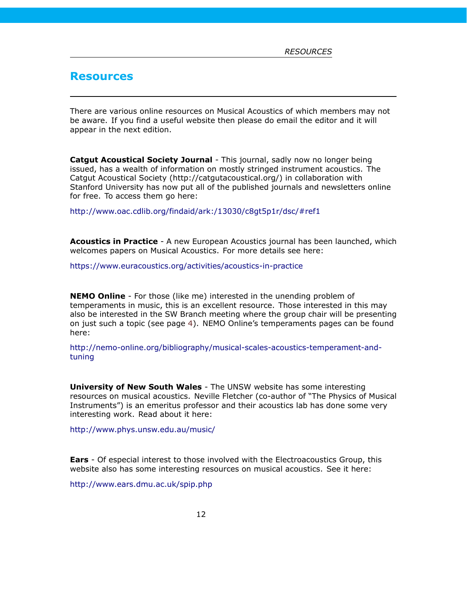### <span id="page-11-0"></span>**Resources**

There are various online resources on Musical Acoustics of which members may not be aware. If you find a useful website then please do email the editor and it will appear in the next edition.

**Catgut Acoustical Society Journal** - This journal, sadly now no longer being issued, has a wealth of information on mostly stringed instrument acoustics. The Catgut Acoustical Society (http://catgutacoustical.org/) in collaboration with Stanford University has now put all of the published journals and newsletters online for free. To access them go here:

<http://www.oac.cdlib.org/findaid/ark:/13030/c8gt5p1r/dsc/#ref1>

**Acoustics in Practice** - A new European Acoustics journal has been launched, which welcomes papers on Musical Acoustics. For more details see here:

<https://www.euracoustics.org/activities/acoustics-in-practice>

**NEMO Online** - For those (like me) interested in the unending problem of temperaments in music, this is an excellent resource. Those interested in this may also be interested in the SW Branch meeting where the group chair will be presenting on just such a topic (see page [4\)](#page-3-1). NEMO Online's temperaments pages can be found here:

[http://nemo-online.org/bibliography/musical-scales-acoustics-temperament-and](http://nemo-online.org/bibliography/musical-scales-acoustics-temperament-and-tuning)[tuning](http://nemo-online.org/bibliography/musical-scales-acoustics-temperament-and-tuning)

**University of New South Wales** - The UNSW website has some interesting resources on musical acoustics. Neville Fletcher (co-author of "The Physics of Musical Instruments") is an emeritus professor and their acoustics lab has done some very interesting work. Read about it here:

<http://www.phys.unsw.edu.au/music/>

**Ears** - Of especial interest to those involved with the Electroacoustics Group, this website also has some interesting resources on musical acoustics. See it here:

<http://www.ears.dmu.ac.uk/spip.php>